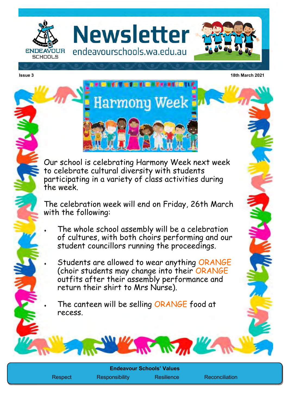

**Newsletter** endeavourschools.wa.edu.au





**From The Principals** 

Our school is celebrating Harmony Week next week to celebrate cultural diversity with students participating in a variety of class activities during the week.

The celebration week will end on Friday, 26th March with the following:

 The whole school assembly will be a celebration of cultures, with both choirs performing and our student councillors running the proceedings.

 Students are allowed to wear anything ORANGE (choir students may change into their ORANGE outfits after their assembly performance and return their shirt to Mrs Nurse).

The canteen will be selling ORANGE food at recess.

Respect Responsibility Resilience Reconciliation

**Endeavour Schools' Values**

**ANY Jul**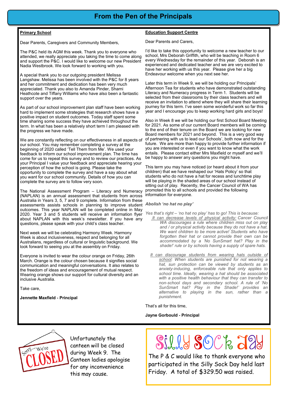### **From the Pen of the Principals**

#### **Primary School**

Dear Parents, Caregivers and Community Members,

The P&C held its AGM this week. Thank you to everyone who attended, we really appreciate you taking the time to come along and support the P&C. I would like to welcome our new President Nadia Westbrook. We look forward to working with you.

A special thank you to our outgoing president Melissa Langshaw. Melissa has been involved with the P&C for 8 years and her commitment and dedication has been very much appreciated. Thank you also to Amanda Pinder, Sharni Heathcote and Tiffany Williams who have also been a fantastic support over the years.

As part of our school improvement plan staff have been working hard to implement some strategies that research shows have a positive impact on student outcomes. Today staff spent some time sharing some success they have achieved throughout the term. In what has been a relatively short term I am pleased with the progress we have made.

We are constantly reflecting on our effectiveness in all aspects of our school. You may remember completing a survey at the beginning of 2020 called 'Tell Them from Me'. We used your feedback to inform our school improvement plan. The time has come for us to repeat this survey and to review our practices. As your Principal I value your feedback and appreciate hearing your perception of how the school is going. Please take the opportunity to complete the survey and have a say about what you want for our school community. Details of how you can complete the survey are to follow very soon.

The National Assessment Program – Literacy and Numeracy (NAPLAN) is an annual assessment that students from across Australia in Years 3, 5, 7 and 9 complete. Information from these assessments assists schools in planning to improve student *Abolish 'no hat no play'* outcomes. This year NAPLAN will be completed online in May 2020. Year 3 and 5 students will receive an information flyer about NAPLAN with this week's newsletter. If you have any questions, please speak with your child's class teacher.

Next week we will be celebrating Harmony Week. Harmony Week is about inclusiveness, respect and belonging for all Australians, regardless of cultural or linguistic background. We look forward to seeing you at the assembly on Friday.

Everyone is invited to wear the colour orange on Friday, 26th March. Orange is the colour chosen because it signifies social communication and meaningful conversations. It also relates to the freedom of ideas and encouragement of mutual respect. Wearing orange shows our support for cultural diversity and an inclusive Australia.

Take care,

**Jennette Maxfield - Principal**

#### **Education Support Centre**

Dear Parents and Carers,

I'd like to take this opportunity to welcome a new teacher to our school, Mrs Deborah Griffith, who will be teaching in Room 6 every Wednesday for the remainder of this year. Deborah is an experienced and dedicated teacher and we are very excited to have her working with us this year. Please give her a big Endeavour welcome when you next see her.

Later this term in Week 9, we will be holding our Principals' Afternoon Tea for students who have demonstrated outstanding Literacy and Numeracy progress in Term 1. Students will be selected from their classrooms by their class teachers and will receive an invitation to attend where they will share their learning journey for this term. I've seen some wonderful work so far this year and I encourage you to keep working hard girls and boys!

Also in Week 8 we will be holding our first School Board Meeting for 2021. As some of our current Board members will be coming to the end of their tenure on the Board we are looking for new Board members for 2021 and beyond. This is a very good way of partnering with us to lead our Schools', both now and for the future. We are more than happy to provide further information if you are interested or even if you want to know what the work entails. Please contact either Mrs Maxfield or myself and we'll be happy to answer any questions you might have.

This term you may have noticed (or heard about it from your children) that we have reshaped our 'Hats Policy' so that students who do not have a hat for recess and lunchtime play will be playing in the shaded areas of our school instead of sitting out of play. Recently, the Cancer Council of WA has promoted this to all schools and provided the following information for everyone.

- *Yes that's right – 'no hat no play' has to go! This is because: It can decrease levels of physical activity: Cancer Council WA discourages a rule where children miss out on play and / or physical activity because they do not have a hat. We want children to be more active! Students who have forgotten their hat or cannot provide their own can be accommodated by a 'No SunSmart hat? Play in the shade!' rule or by schools having a supply of spare hats.*
	- *It can discourage students from wearing hats outside of school: When students are punished for not wearing a hat, sun protection can be viewed by students as an anxiety-inducing, enforceable rule that only applies to school time. Ideally, wearing a hat should be associated with a positive health behaviour that they can transfer to non-school days and secondary school. A rule of 'No SunSmart hat? Play in the Shade!' provides an alternative to playing in the sun, rather than a punishment.*

That's all for this time,

#### **Jayne Gorbould - Principal**



Unfortunately the canteen will be closed during Week 9. The Canteen ladies apologise for any inconvenience this may cause.

# Silly SOCk J2

The P & C would like to thank everyone who participated in the Silly Sock Day held last Friday. A total of \$329.50 was raised.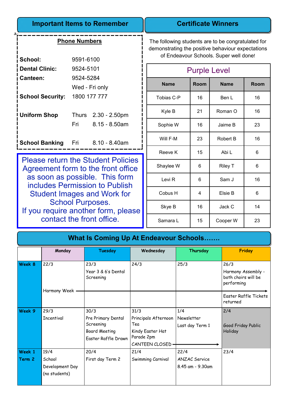| <b>Important Items to Remember</b>        |                |                     |  |  |  |  |  |
|-------------------------------------------|----------------|---------------------|--|--|--|--|--|
| <b>Phone Numbers</b>                      |                |                     |  |  |  |  |  |
| School:                                   | 9591-6100      |                     |  |  |  |  |  |
| <b>Dental Clinic:</b>                     | 9524-5101      |                     |  |  |  |  |  |
| Canteen:                                  | 9524-5284      |                     |  |  |  |  |  |
|                                           | Wed - Fri only |                     |  |  |  |  |  |
| <b>School Security: 1800 177 777</b>      |                |                     |  |  |  |  |  |
| <b>Uniform Shop</b>                       |                | Thurs 2.30 - 2.50pm |  |  |  |  |  |
|                                           | Fri            | $8.15 - 8.50$ am    |  |  |  |  |  |
| <b>School Banking</b> Fri 8.10 - 8.40am   |                |                     |  |  |  |  |  |
| <b>Please return the Student Policies</b> |                |                     |  |  |  |  |  |

Please return the Student Policies Agreement form to the front office as soon as possible. This form includes Permission to Publish Student Images and Work for School Purposes. If you require another form, please contact the front office.

The following students are to be congratulated for demonstrating the positive behaviour expectations of Endeavour Schools. Super well done!

**Certificate Winners**

| <b>Purple Level</b> |      |                 |      |  |  |  |  |
|---------------------|------|-----------------|------|--|--|--|--|
| <b>Name</b>         | Room | <b>Name</b>     | Room |  |  |  |  |
| Tobias C-P          | 16   | Ben L           | 16   |  |  |  |  |
| Kyle B              | 21   | Roman O         | 16   |  |  |  |  |
| Sophie W            | 16   | Jaime B         | 23   |  |  |  |  |
| Will F-M            | 23   | <b>Robert B</b> | 16   |  |  |  |  |
| Reeve K             | 15   | Abi L           | 6    |  |  |  |  |
| Shaylee W           | 6    | Riley T         | 6    |  |  |  |  |
| Levi <sub>R</sub>   | 6    | Sam J           | 16   |  |  |  |  |
| Cobus H             | 4    | Elsie B         | 6    |  |  |  |  |
| Skye B              | 16   | Jack C          | 14   |  |  |  |  |
| Samara L            | 15   | Cooper W        | 23   |  |  |  |  |

| <b>What Is Coming Up At Endeavour Schools</b> |                                                    |                                                                                        |                                                                                          |                                                  |                                                                 |  |  |  |
|-----------------------------------------------|----------------------------------------------------|----------------------------------------------------------------------------------------|------------------------------------------------------------------------------------------|--------------------------------------------------|-----------------------------------------------------------------|--|--|--|
|                                               | Monday                                             | <b>Tuesday</b>                                                                         | Wednesday                                                                                | Thursday                                         | Friday                                                          |  |  |  |
| Week 8                                        | 22/3                                               | 23/3<br>Year 3 & 6's Dental<br>Screening                                               | 24/3                                                                                     | 25/3                                             | 26/3<br>Harmony Assembly -<br>both choirs will be<br>performing |  |  |  |
|                                               | Harmony Week                                       |                                                                                        |                                                                                          |                                                  | Easter Raffle Tickets<br>returned                               |  |  |  |
| Week 9                                        | 29/3<br><b>Incentival</b>                          | 30/3<br>Pre Primary Dental<br>Screening<br><b>Board Meeting</b><br>Easter Raffle Drawn | 31/3<br>Principals Afternoon<br>Tea<br>Kindy Easter Hat<br>Parade 2pm<br>CANTEEN CLOSED- | 1/4<br>Newsletter<br>Last day Term 1             | 2/4<br>Good Friday Public<br>Holiday                            |  |  |  |
| Week 1<br>Term 2                              | 19/4<br>School<br>Development Day<br>(no students) | 20/4<br>First day Term 2                                                               | 21/4<br>Swimming Carnival                                                                | 22/4<br><b>ANZAC Service</b><br>8.45 am - 9.30am | 23/4                                                            |  |  |  |